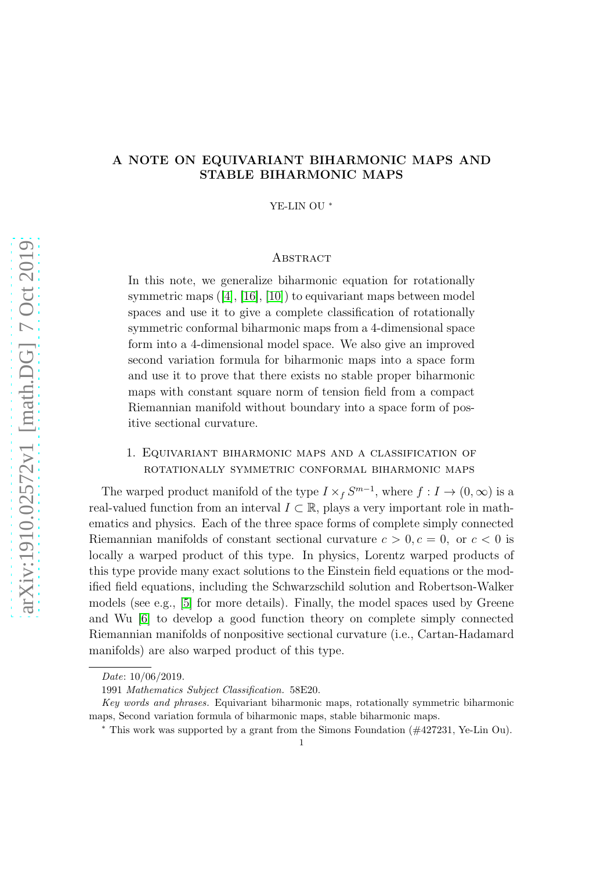# A NOTE ON EQUIVARIANT BIHARMONIC MAPS AND STABLE BIHARMONIC MAPS

YE-LIN OU <sup>∗</sup>

### **ABSTRACT**

In this note, we generalize biharmonic equation for rotationally symmetricmaps  $([4], [16], [10])$  $([4], [16], [10])$  $([4], [16], [10])$  $([4], [16], [10])$  $([4], [16], [10])$  $([4], [16], [10])$  $([4], [16], [10])$  to equivariant maps between model spaces and use it to give a complete classification of rotationally symmetric conformal biharmonic maps from a 4-dimensional space form into a 4-dimensional model space. We also give an improved second variation formula for biharmonic maps into a space form and use it to prove that there exists no stable proper biharmonic maps with constant square norm of tension field from a compact Riemannian manifold without boundary into a space form of positive sectional curvature.

### 1. Equivariant biharmonic maps and a classification of rotationally symmetric conformal biharmonic maps

The warped product manifold of the type  $I \times_f S^{m-1}$ , where  $f : I \to (0, \infty)$  is a real-valued function from an interval  $I \subset \mathbb{R}$ , plays a very important role in mathematics and physics. Each of the three space forms of complete simply connected Riemannian manifolds of constant sectional curvature  $c > 0, c = 0$ , or  $c < 0$  is locally a warped product of this type. In physics, Lorentz warped products of this type provide many exact solutions to the Einstein field equations or the modified field equations, including the Schwarzschild solution and Robertson-Walker models (see e.g., [\[5\]](#page-11-2) for more details). Finally, the model spaces used by Greene and Wu [\[6\]](#page-11-3) to develop a good function theory on complete simply connected Riemannian manifolds of nonpositive sectional curvature (i.e., Cartan-Hadamard manifolds) are also warped product of this type.

Date: 10/06/2019.

<sup>1991</sup> Mathematics Subject Classification. 58E20.

Key words and phrases. Equivariant biharmonic maps, rotationally symmetric biharmonic maps, Second variation formula of biharmonic maps, stable biharmonic maps.

<sup>∗</sup> This work was supported by a grant from the Simons Foundation (#427231, Ye-Lin Ou).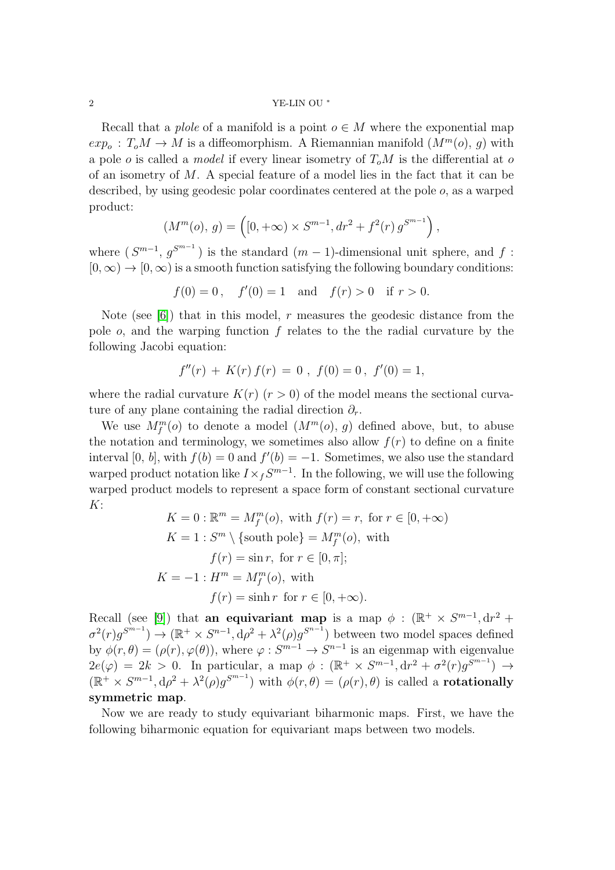#### $2\,$  YE-LIN OU  $^*$

Recall that a *plole* of a manifold is a point  $o \in M$  where the exponential map  $exp_o: T_oM \to M$  is a diffeomorphism. A Riemannian manifold  $(M^m(o), g)$  with a pole o is called a *model* if every linear isometry of  $T_0M$  is the differential at o of an isometry of  $M$ . A special feature of a model lies in the fact that it can be described, by using geodesic polar coordinates centered at the pole o, as a warped product:

$$
(M^{m}(o), g) = \left( [0, +\infty) \times S^{m-1}, dr^{2} + f^{2}(r) g^{S^{m-1}} \right),
$$

where  $(S^{m-1}, g^{S^{m-1}})$  is the standard  $(m-1)$ -dimensional unit sphere, and  $f$ :  $[0, \infty) \rightarrow [0, \infty)$  is a smooth function satisfying the following boundary conditions:

$$
f(0) = 0
$$
,  $f'(0) = 1$  and  $f(r) > 0$  if  $r > 0$ .

Note (see  $[6]$ ) that in this model, r measures the geodesic distance from the pole  $o$ , and the warping function  $f$  relates to the the radial curvature by the following Jacobi equation:

$$
f''(r) + K(r) f(r) = 0 , f(0) = 0, f'(0) = 1,
$$

where the radial curvature  $K(r)$  ( $r > 0$ ) of the model means the sectional curvature of any plane containing the radial direction  $\partial_r$ .

We use  $M_f^m(o)$  to denote a model  $(M^m(o), g)$  defined above, but, to abuse the notation and terminology, we sometimes also allow  $f(r)$  to define on a finite interval [0, b], with  $f(b) = 0$  and  $f'(b) = -1$ . Sometimes, we also use the standard warped product notation like  $I \times_f S^{m-1}$ . In the following, we will use the following warped product models to represent a space form of constant sectional curvature  $K$ :

$$
K = 0 : \mathbb{R}^m = M_f^m(o), \text{ with } f(r) = r, \text{ for } r \in [0, +\infty)
$$
  
\n
$$
K = 1 : S^m \setminus \{\text{south pole}\} = M_f^m(o), \text{ with}
$$
  
\n
$$
f(r) = \sin r, \text{ for } r \in [0, \pi];
$$
  
\n
$$
K = -1 : H^m = M_f^m(o), \text{ with}
$$
  
\n
$$
f(r) = \sinh r \text{ for } r \in [0, +\infty).
$$

Recall (see [\[9\]](#page-11-4)) that **an equivariant map** is a map  $\phi$  : ( $\mathbb{R}^+ \times S^{m-1}$ , dr<sup>2</sup> +  $\sigma^2(r)g^{S^{m-1}}$ )  $\rightarrow (\mathbb{R}^+ \times S^{n-1}, d\rho^2 + \lambda^2(\rho)g^{S^{n-1}})$  between two model spaces defined by  $\phi(r,\theta) = (\rho(r), \varphi(\theta))$ , where  $\varphi: S^{m-1} \to S^{n-1}$  is an eigenmap with eigenvalue  $2e(\varphi) = 2k > 0$ . In particular, a map  $\phi : (\mathbb{R}^+ \times S^{m-1}, dr^2 + \sigma^2(r)g^{S^{m-1}}) \rightarrow$  $(\mathbb{R}^+ \times S^{m-1}, d\rho^2 + \lambda^2(\rho)g^{S^{m-1}})$  with  $\phi(r,\theta) = (\rho(r), \theta)$  is called a **rotationally** symmetric map.

Now we are ready to study equivariant biharmonic maps. First, we have the following biharmonic equation for equivariant maps between two models.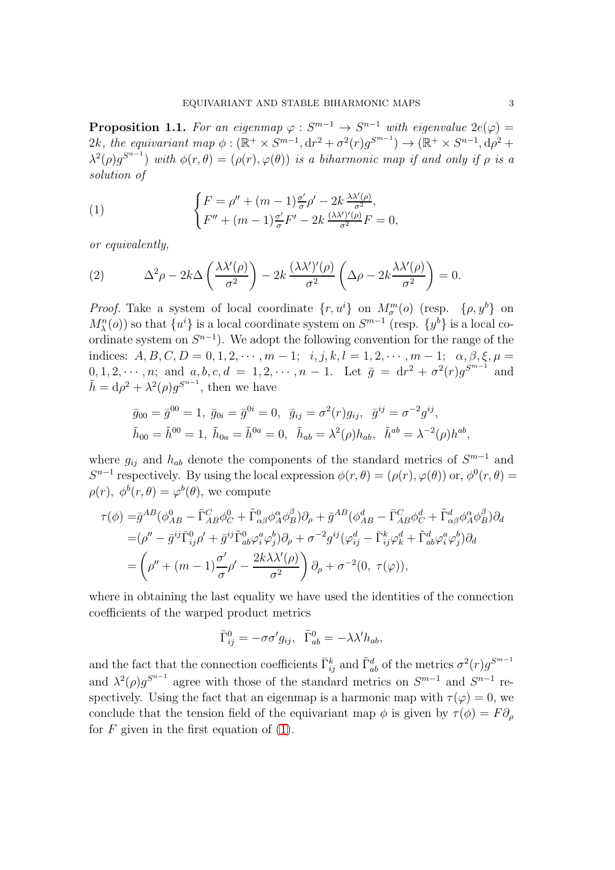<span id="page-2-2"></span>**Proposition 1.1.** For an eigenmap  $\varphi : S^{m-1} \to S^{n-1}$  with eigenvalue  $2e(\varphi) =$ 2k, the equivariant map  $\phi : (\mathbb{R}^+ \times S^{m-1}, \mathrm{d}r^2 + \sigma^2(r) g^{S^{m-1}}) \to (\mathbb{R}^+ \times S^{n-1}, \mathrm{d}\rho^2 +$  $\lambda^2(\rho)g^{S^{n-1}}$ ) with  $\phi(r,\theta)=(\rho(r),\varphi(\theta))$  is a biharmonic map if and only if  $\rho$  is a solution of

<span id="page-2-0"></span>(1) 
$$
\begin{cases} F = \rho'' + (m-1)\frac{\sigma'}{\sigma} \rho' - 2k \frac{\lambda \lambda'(\rho)}{\sigma^2}, \\ F'' + (m-1)\frac{\sigma'}{\sigma} F' - 2k \frac{(\lambda \lambda')'(\rho)}{\sigma^2} F = 0, \end{cases}
$$

or equivalently,

<span id="page-2-1"></span>(2) 
$$
\Delta^2 \rho - 2k \Delta \left( \frac{\lambda \lambda'(\rho)}{\sigma^2} \right) - 2k \frac{(\lambda \lambda')'(\rho)}{\sigma^2} \left( \Delta \rho - 2k \frac{\lambda \lambda'(\rho)}{\sigma^2} \right) = 0.
$$

*Proof.* Take a system of local coordinate  $\{r, u^i\}$  on  $M_{\sigma}^m(o)$  (resp.  $\{\rho, y^b\}$  on  $M_{\lambda}^{n}(o)$ ) so that  $\{u^{i}\}\$ is a local coordinate system on  $S^{m-1}$  (resp.  $\{y^{b}\}\$ is a local coordinate system on  $S^{n-1}$ ). We adopt the following convention for the range of the indices:  $A, B, C, D = 0, 1, 2, \cdots, m - 1; i, j, k, l = 1, 2, \cdots, m - 1; \alpha, \beta, \xi, \mu$  $[0, 1, 2, \dots, n; \text{ and } a, b, c, d = 1, 2, \dots, n-1. \text{ Let } \bar{g} = dr^2 + \sigma^2(r)g^{5^{m-1}} \text{ and }$  $\tilde{h} = d\rho^2 + \lambda^2(\rho)g^{S^{n-1}}$ , then we have

$$
\bar{g}_{00} = \bar{g}^{00} = 1, \ \bar{g}_{0i} = \bar{g}^{0i} = 0, \ \ \bar{g}_{ij} = \sigma^2(r)g_{ij}, \ \ \bar{g}^{ij} = \sigma^{-2}g^{ij},
$$
  

$$
\tilde{h}_{00} = \tilde{h}^{00} = 1, \ \tilde{h}_{0a} = \tilde{h}^{0a} = 0, \ \ \tilde{h}_{ab} = \lambda^2(\rho)h_{ab}, \ \ \tilde{h}^{ab} = \lambda^{-2}(\rho)h^{ab}
$$

where  $g_{ij}$  and  $h_{ab}$  denote the components of the standard metrics of  $S^{m-1}$  and  $S^{n-1}$  respectively. By using the local expression  $\phi(r, \theta) = (\rho(r), \varphi(\theta))$  or,  $\phi^{0}(r, \theta) =$  $\rho(r)$ ,  $\phi^b(r,\theta) = \varphi^b(\theta)$ , we compute

$$
\tau(\phi) = \bar{g}^{AB}(\phi_{AB}^0 - \bar{\Gamma}_{AB}^C \phi_C^0 + \tilde{\Gamma}_{\alpha\beta}^0 \phi_A^{\alpha} \phi_B^{\beta}) \partial_{\rho} + \bar{g}^{AB}(\phi_{AB}^d - \bar{\Gamma}_{AB}^C \phi_C^d + \tilde{\Gamma}_{\alpha\beta}^d \phi_A^{\alpha} \phi_B^{\beta}) \partial_d \n= (\rho'' - \bar{g}^{ij} \bar{\Gamma}_{ij}^0 \rho' + \bar{g}^{ij} \tilde{\Gamma}_{ab}^0 \varphi_i^a \varphi_j^b) \partial_{\rho} + \sigma^{-2} g^{ij} (\varphi_{ij}^d - \bar{\Gamma}_{ij}^k \varphi_k^d + \tilde{\Gamma}_{ab}^d \varphi_i^a \varphi_j^b) \partial_d \n= (\rho'' + (m - 1) \frac{\sigma'}{\sigma} \rho' - \frac{2k\lambda \lambda'(\rho)}{\sigma^2}) \partial_{\rho} + \sigma^{-2} (0, \tau(\varphi)),
$$

where in obtaining the last equality we have used the identities of the connection coefficients of the warped product metrics

$$
\bar{\Gamma}_{ij}^0 = -\sigma \sigma' g_{ij}, \quad \tilde{\Gamma}_{ab}^0 = -\lambda \lambda' h_{ab},
$$

and the fact that the connection coefficients  $\bar{\Gamma}_{ij}^k$  and  $\tilde{\Gamma}_{ab}^d$  of the metrics  $\sigma^2(r)g^{S^{m-1}}$ and  $\lambda^2(\rho)g^{S^{n-1}}$  agree with those of the standard metrics on  $S^{m-1}$  and  $S^{n-1}$  respectively. Using the fact that an eigenmap is a harmonic map with  $\tau(\varphi) = 0$ , we conclude that the tension field of the equivariant map  $\phi$  is given by  $\tau(\phi) = F \partial_{\rho}$ for  $F$  given in the first equation of  $(1)$ .

,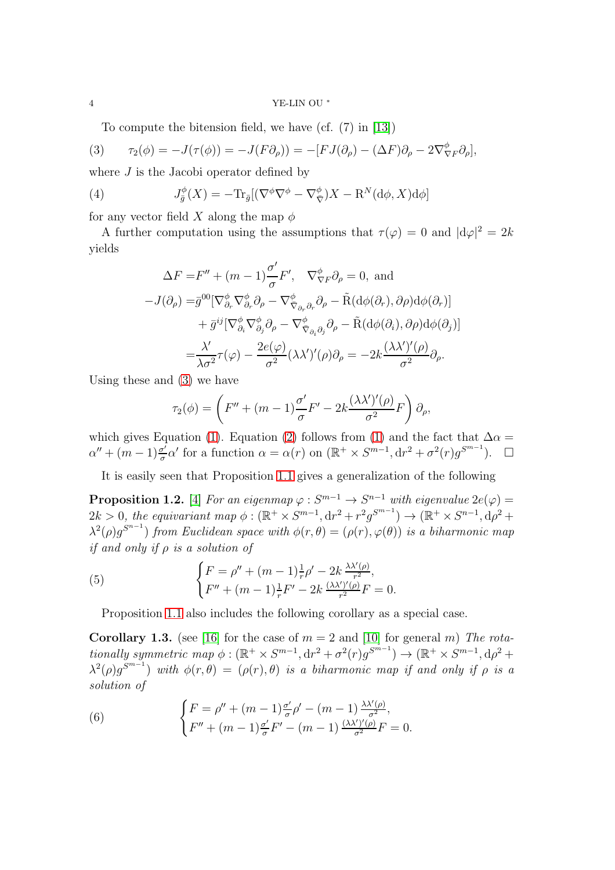4  $YE-LIN$  OU  $^*$ 

<span id="page-3-0"></span>To compute the bitension field, we have (cf. (7) in [\[13\]](#page-12-1))

(3) 
$$
\tau_2(\phi) = -J(\tau(\phi)) = -J(F\partial_\rho)) = -[FJ(\partial_\rho) - (\Delta F)\partial_\rho - 2\nabla_{\nabla F}^{\phi}\partial_\rho],
$$

where  $J$  is the Jacobi operator defined by

(4) 
$$
J_{\bar{g}}^{\phi}(X) = -\text{Tr}_{\bar{g}}[(\nabla^{\phi}\nabla^{\phi} - \nabla_{\bar{\nabla}}^{\phi})X - \mathcal{R}^{N}(d\phi, X)d\phi]
$$

for any vector field X along the map  $\phi$ 

A further computation using the assumptions that  $\tau(\varphi) = 0$  and  $|d\varphi|^2 = 2k$ yields

<span id="page-3-1"></span>
$$
\Delta F = F'' + (m - 1) \frac{\sigma'}{\sigma} F', \quad \nabla_{\nabla F}^{\phi} \partial_{\rho} = 0, \text{ and}
$$
  
\n
$$
-J(\partial_{\rho}) = \bar{g}^{00} [\nabla_{\partial_r}^{\phi} \nabla_{\partial_r}^{\phi} \partial_{\rho} - \nabla_{\bar{\nabla}_{\partial_r} \partial_r}^{\phi} \partial_{\rho} - \tilde{R} (d\phi(\partial_r), \partial \rho) d\phi(\partial_r)]
$$
  
\n
$$
+ \bar{g}^{ij} [\nabla_{\partial_i}^{\phi} \nabla_{\partial_j}^{\phi} \partial_{\rho} - \nabla_{\bar{\nabla}_{\partial_i} \partial_j}^{\phi} \partial_{\rho} - \tilde{R} (d\phi(\partial_i), \partial \rho) d\phi(\partial_j)]
$$
  
\n
$$
= \frac{\lambda'}{\lambda \sigma^2} \tau(\varphi) - \frac{2e(\varphi)}{\sigma^2} (\lambda \lambda')'(\rho) \partial_{\rho} = -2k \frac{(\lambda \lambda')'(\rho)}{\sigma^2} \partial_{\rho}.
$$

Using these and [\(3\)](#page-3-0) we have

$$
\tau_2(\phi) = \left( F'' + (m-1)\frac{\sigma'}{\sigma}F' - 2k\frac{(\lambda\lambda')'(\rho)}{\sigma^2}F \right) \partial_\rho,
$$

which gives Equation [\(1\)](#page-2-0). Equation [\(2\)](#page-2-1) follows from (1) and the fact that  $\Delta \alpha =$  $\alpha'' + (m-1)\frac{\sigma'}{\sigma}$  $\frac{\sigma'}{\sigma} \alpha'$  for a function  $\alpha = \alpha(r)$  on  $(\mathbb{R}^+ \times S^{m-1}, \mathrm{d}r^2 + \sigma^2(r)g^{S^{m-1}})$ .  $\Box$ 

It is easily seen that Proposition [1.1](#page-2-2) gives a generalization of the following

**Proposition 1.2.** [\[4\]](#page-11-0) For an eigenmap  $\varphi : S^{m-1} \to S^{n-1}$  with eigenvalue  $2e(\varphi) =$  $2k > 0$ , the equivariant map  $\phi : (\mathbb{R}^+ \times S^{m-1}, \mathrm{d}r^2 + r^2 g^{S^{m-1}}) \to (\mathbb{R}^+ \times S^{n-1}, \mathrm{d}\rho^2 +$  $\lambda^2(\rho)g^{S^{n-1}}$ ) from Euclidean space with  $\phi(r,\theta)=(\rho(r),\varphi(\theta))$  is a biharmonic map if and only if  $\rho$  is a solution of

(5) 
$$
\begin{cases} F = \rho'' + (m-1)\frac{1}{r}\rho' - 2k \frac{\lambda \lambda'(\rho)}{r^2}, \\ F'' + (m-1)\frac{1}{r}F' - 2k \frac{(\lambda \lambda')'(\rho)}{r^2}F = 0. \end{cases}
$$

Proposition [1.1](#page-2-2) also includes the following corollary as a special case.

**Corollary 1.3.** (see [\[16\]](#page-12-0) for the case of  $m = 2$  and [\[10\]](#page-11-1) for general m) The rotationally symmetric map  $\phi : (\mathbb{R}^+ \times S^{m-1}, \mathrm{d}r^2 + \sigma^2(r)g^{S^{m-1}}) \to (\mathbb{R}^+ \times S^{m-1}, \mathrm{d}\rho^2 +$  $\lambda^2(\rho)g^{\mathcal{S}^{m-1}}$ ) with  $\phi(r,\theta)=(\rho(r),\theta)$  is a biharmonic map if and only if  $\rho$  is a solution of

(6) 
$$
\begin{cases} F = \rho'' + (m-1)\frac{\sigma'}{\sigma} \rho' - (m-1) \frac{\lambda \lambda'(\rho)}{\sigma^2}, \\ F'' + (m-1)\frac{\sigma'}{\sigma} F' - (m-1) \frac{(\lambda \lambda')'(\rho)}{\sigma^2} F = 0. \end{cases}
$$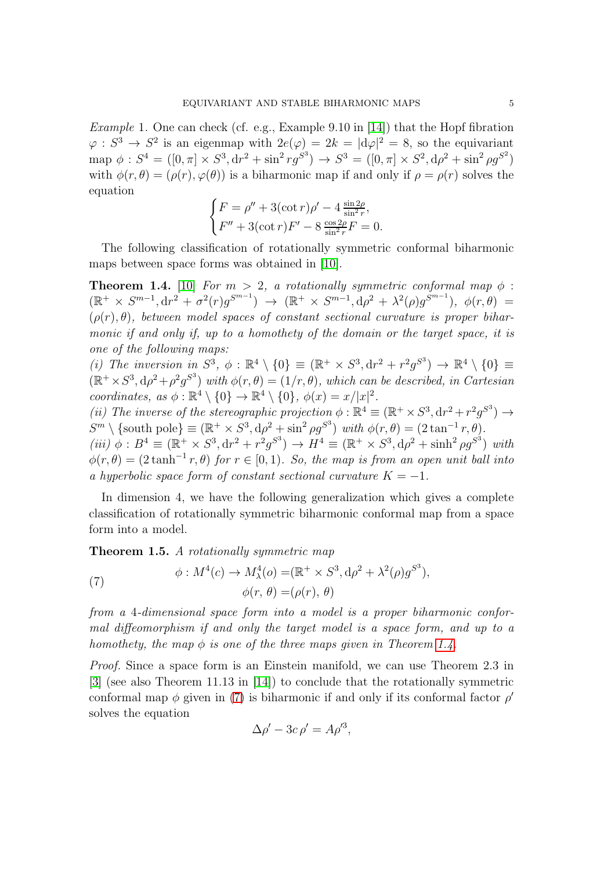Example 1. One can check (cf. e.g., Example 9.10 in [\[14\]](#page-12-2)) that the Hopf fibration  $\varphi: S^3 \to S^2$  is an eigenmap with  $2e(\varphi) = 2k = |d\varphi|^2 = 8$ , so the equivariant map  $\phi : S^4 = ([0, \pi] \times S^3, dr^2 + \sin^2 r g^{S^3}) \rightarrow S^3 = ([0, \pi] \times S^2, d\rho^2 + \sin^2 \rho g^{S^2})$ with  $\phi(r,\theta) = (\rho(r), \varphi(\theta))$  is a biharmonic map if and only if  $\rho = \rho(r)$  solves the equation

$$
\begin{cases}\nF = \rho'' + 3(\cot r)\rho' - 4\frac{\sin 2\rho}{\sin^2 r}, \\
F'' + 3(\cot r)F' - 8\frac{\cos 2\rho}{\sin^2 r}F = 0.\n\end{cases}
$$

The following classification of rotationally symmetric conformal biharmonic maps between space forms was obtained in [\[10\]](#page-11-1).

<span id="page-4-0"></span>**Theorem 1.4.** [\[10\]](#page-11-1) For  $m > 2$ , a rotationally symmetric conformal map  $\phi$ :  $(\mathbb{R}^+ \times S^{m-1}, \mathrm{d}r^2 + \sigma^2(r)g^{S^{m-1}}) \rightarrow (\mathbb{R}^+ \times S^{m-1}, \mathrm{d}\rho^2 + \lambda^2(\rho)g^{S^{m-1}}), \phi(r, \theta) =$  $(\rho(r), \theta)$ , between model spaces of constant sectional curvature is proper biharmonic if and only if, up to a homothety of the domain or the target space, it is one of the following maps:

(i) The inversion in  $S^3$ ,  $\phi : \mathbb{R}^4 \setminus \{0\} \equiv (\mathbb{R}^+ \times S^3, dr^2 + r^2 g^{S^3}) \rightarrow \mathbb{R}^4 \setminus \{0\} \equiv$  $(\mathbb{R}^+ \times S^3, d\rho^2 + \rho^2 g^{S^3})$  with  $\phi(r, \theta) = (1/r, \theta)$ , which can be described, in Cartesian coordinates, as  $\phi : \mathbb{R}^4 \setminus \{0\} \to \mathbb{R}^4 \setminus \{0\}$ ,  $\phi(x) = x/|x|^2$ .

(ii) The inverse of the stereographic projection  $\phi : \mathbb{R}^4 \equiv (\mathbb{R}^+ \times S^3, dr^2 + r^2 g^{S^3}) \rightarrow$  $S^m \setminus \{\text{south pole}\}\equiv (\mathbb{R}^+ \times S^3, \mathrm{d}\rho^2 + \sin^2 \rho g^{S^3}) \text{ with } \phi(r, \theta) = (2 \tan^{-1} r, \theta).$ 

(iii)  $\phi : B^4 \equiv (\mathbb{R}^+ \times S^3, dr^2 + r^2 g^{S^3}) \rightarrow H^4 \equiv (\mathbb{R}^+ \times S^3, d\rho^2 + \sinh^2 \rho g^{S^3})$  with  $\phi(r,\theta) = (2 \tanh^{-1} r,\theta)$  for  $r \in [0,1)$ . So, the map is from an open unit ball into a hyperbolic space form of constant sectional curvature  $K = -1$ .

In dimension 4, we have the following generalization which gives a complete classification of rotationally symmetric biharmonic conformal map from a space form into a model.

Theorem 1.5. A rotationally symmetric map

<span id="page-4-1"></span>(7) 
$$
\phi: M^4(c) \to M^4_\lambda(o) = (\mathbb{R}^+ \times S^3, d\rho^2 + \lambda^2(\rho)g^{S^3}),
$$

$$
\phi(r, \theta) = (\rho(r), \theta)
$$

from a 4-dimensional space form into a model is a proper biharmonic conformal diffeomorphism if and only the target model is a space form, and up to a homothety, the map  $\phi$  is one of the three maps given in Theorem [1.4.](#page-4-0)

Proof. Since a space form is an Einstein manifold, we can use Theorem 2.3 in [\[3\]](#page-11-5) (see also Theorem 11.13 in [\[14\]](#page-12-2)) to conclude that the rotationally symmetric conformal map  $\phi$  given in [\(7\)](#page-4-1) is biharmonic if and only if its conformal factor  $\rho'$ solves the equation

$$
\Delta \rho' - 3c \,\rho' = A\rho'^3,
$$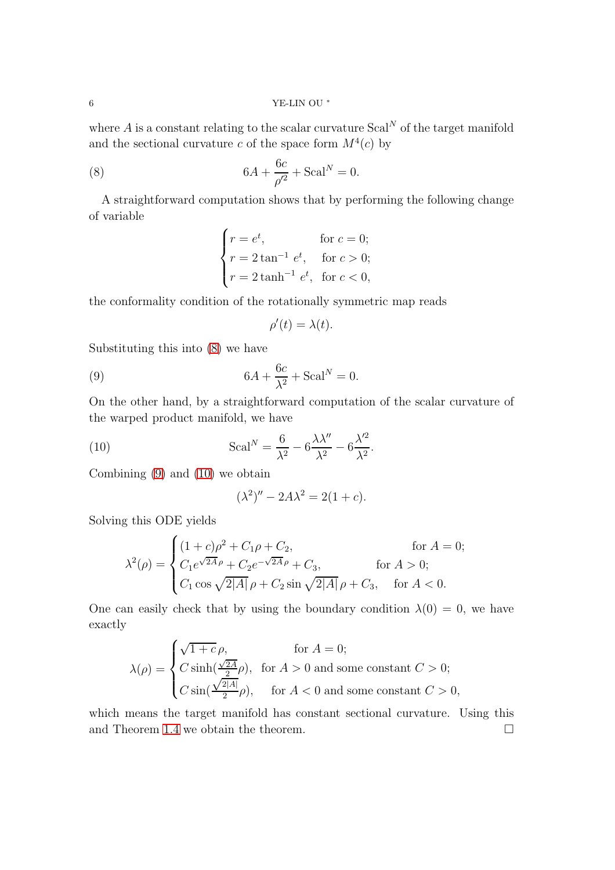where A is a constant relating to the scalar curvature  $Scal^N$  of the target manifold and the sectional curvature c of the space form  $M^4(c)$  by

(8) 
$$
6A + \frac{6c}{\rho'^2} + \text{Scal}^N = 0.
$$

A straightforward computation shows that by performing the following change of variable

<span id="page-5-0"></span>
$$
\begin{cases}\nr = e^t, & \text{for } c = 0; \\
r = 2 \tan^{-1} e^t, & \text{for } c > 0; \\
r = 2 \tanh^{-1} e^t, & \text{for } c < 0,\n\end{cases}
$$

the conformality condition of the rotationally symmetric map reads

<span id="page-5-1"></span>
$$
\rho'(t) = \lambda(t).
$$

Substituting this into [\(8\)](#page-5-0) we have

(9) 
$$
6A + \frac{6c}{\lambda^2} + \text{Scal}^N = 0.
$$

On the other hand, by a straightforward computation of the scalar curvature of the warped product manifold, we have

(10) 
$$
\mathrm{Scal}^{N} = \frac{6}{\lambda^{2}} - 6\frac{\lambda\lambda''}{\lambda^{2}} - 6\frac{\lambda'^{2}}{\lambda^{2}}.
$$

Combining [\(9\)](#page-5-1) and [\(10\)](#page-5-2) we obtain

<span id="page-5-2"></span>
$$
(\lambda^2)'' - 2A\lambda^2 = 2(1+c).
$$

Solving this ODE yields

$$
\lambda^{2}(\rho) = \begin{cases}\n(1+c)\rho^{2} + C_{1}\rho + C_{2}, & \text{for } A = 0; \\
C_{1}e^{\sqrt{2A}\rho} + C_{2}e^{-\sqrt{2A}\rho} + C_{3}, & \text{for } A > 0; \\
C_{1} \cos \sqrt{2|A|} \rho + C_{2} \sin \sqrt{2|A|} \rho + C_{3}, & \text{for } A < 0.\n\end{cases}
$$

One can easily check that by using the boundary condition  $\lambda(0) = 0$ , we have exactly

$$
\lambda(\rho) = \begin{cases}\n\sqrt{1+c}\,\rho, & \text{for } A = 0; \\
C\sinh(\frac{\sqrt{2A}}{2}\rho), & \text{for } A > 0 \text{ and some constant } C > 0; \\
C\sin(\frac{\sqrt{2|A|}}{2}\rho), & \text{for } A < 0 \text{ and some constant } C > 0,\n\end{cases}
$$

which means the target manifold has constant sectional curvature. Using this and Theorem [1.4](#page-4-0) we obtain the theorem.  $\Box$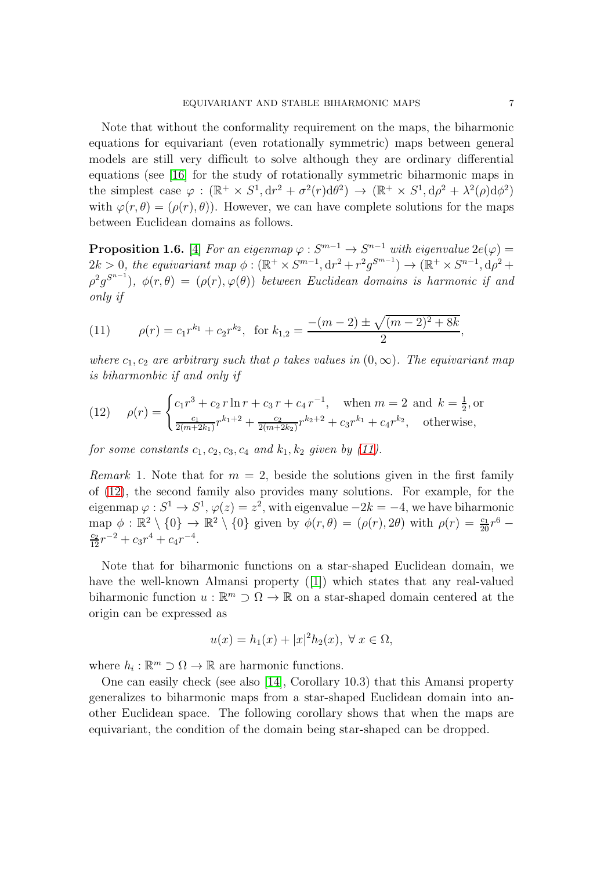Note that without the conformality requirement on the maps, the biharmonic equations for equivariant (even rotationally symmetric) maps between general models are still very difficult to solve although they are ordinary differential equations (see [\[16\]](#page-12-0) for the study of rotationally symmetric biharmonic maps in the simplest case  $\varphi : (\mathbb{R}^+ \times S^1, dr^2 + \sigma^2(r) d\theta^2) \to (\mathbb{R}^+ \times S^1, d\rho^2 + \lambda^2(\rho) d\phi^2)$ with  $\varphi(r,\theta) = (\rho(r),\theta)$ . However, we can have complete solutions for the maps between Euclidean domains as follows.

<span id="page-6-2"></span>**Proposition 1.6.** [\[4\]](#page-11-0) For an eigenmap  $\varphi : S^{m-1} \to S^{n-1}$  with eigenvalue  $2e(\varphi) =$  $2k > 0$ , the equivariant map  $\phi : (\mathbb{R}^+ \times S^{m-1}, \mathrm{d}r^2 + r^2 g^{S^{m-1}}) \to (\mathbb{R}^+ \times S^{n-1}, \mathrm{d}\rho^2 +$  $(\rho^2 g^{S^{n-1}})$ ,  $\phi(r,\theta) = (\rho(r), \varphi(\theta))$  between Euclidean domains is harmonic if and only if

<span id="page-6-0"></span>(11) 
$$
\rho(r) = c_1 r^{k_1} + c_2 r^{k_2}, \text{ for } k_{1,2} = \frac{-(m-2) \pm \sqrt{(m-2)^2 + 8k}}{2},
$$

where  $c_1, c_2$  are arbitrary such that  $\rho$  takes values in  $(0, \infty)$ . The equivariant map is biharmonbic if and only if

<span id="page-6-1"></span>(12) 
$$
\rho(r) = \begin{cases} c_1 r^3 + c_2 r \ln r + c_3 r + c_4 r^{-1}, & \text{when } m = 2 \text{ and } k = \frac{1}{2}, \text{or} \\ \frac{c_1}{2(m+2k_1)} r^{k_1+2} + \frac{c_2}{2(m+2k_2)} r^{k_2+2} + c_3 r^{k_1} + c_4 r^{k_2}, & \text{otherwise,} \end{cases}
$$

for some constants  $c_1, c_2, c_3, c_4$  and  $k_1, k_2$  given by [\(11\)](#page-6-0).

Remark 1. Note that for  $m = 2$ , beside the solutions given in the first family of [\(12\)](#page-6-1), the second family also provides many solutions. For example, for the eigenmap  $\varphi: S^1 \to S^1$ ,  $\varphi(z) = z^2$ , with eigenvalue  $-2k = -4$ , we have biharmonic map  $\phi : \mathbb{R}^2 \setminus \{0\} \to \mathbb{R}^2 \setminus \{0\}$  given by  $\phi(r,\theta) = (\rho(r), 2\theta)$  with  $\rho(r) = \frac{c_1}{20}r^6$  $\frac{c_2}{12}r^{-2} + c_3r^4 + c_4r^{-4}.$ 

Note that for biharmonic functions on a star-shaped Euclidean domain, we have the well-known Almansi property([\[1\]](#page-11-6)) which states that any real-valued biharmonic function  $u : \mathbb{R}^m \supset \Omega \to \mathbb{R}$  on a star-shaped domain centered at the origin can be expressed as

$$
u(x) = h_1(x) + |x|^2 h_2(x), \ \forall \ x \in \Omega,
$$

where  $h_i : \mathbb{R}^m \supset \Omega \to \mathbb{R}$  are harmonic functions.

One can easily check (see also [\[14\]](#page-12-2), Corollary 10.3) that this Amansi property generalizes to biharmonic maps from a star-shaped Euclidean domain into another Euclidean space. The following corollary shows that when the maps are equivariant, the condition of the domain being star-shaped can be dropped.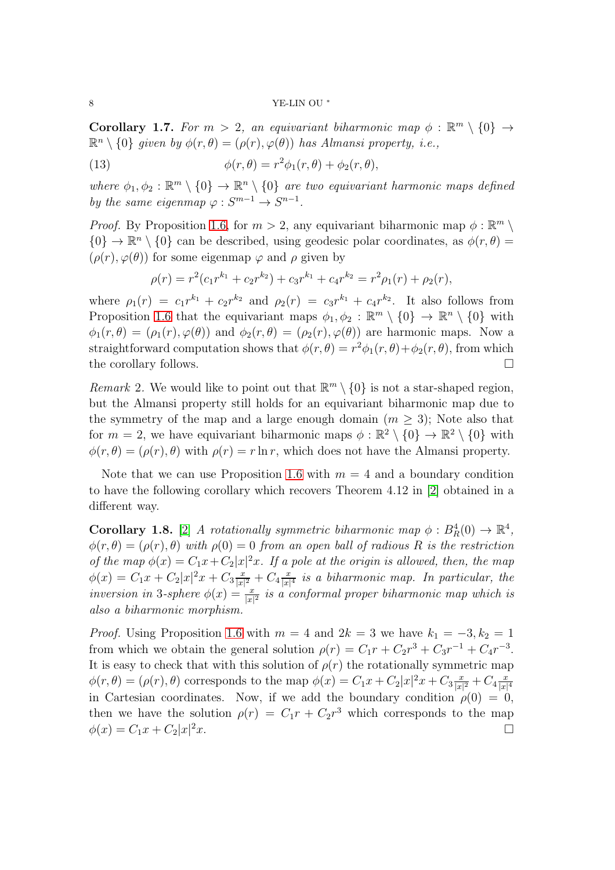#### 8 YE-LIN OU <sup>∗</sup>

**Corollary 1.7.** For  $m > 2$ , an equivariant biharmonic map  $\phi : \mathbb{R}^m \setminus \{0\} \rightarrow$  $\mathbb{R}^n \setminus \{0\}$  given by  $\phi(r,\theta) = (\rho(r), \varphi(\theta))$  has Almansi property, i.e.,

(13) 
$$
\phi(r,\theta) = r^2 \phi_1(r,\theta) + \phi_2(r,\theta),
$$

where  $\phi_1, \phi_2 : \mathbb{R}^m \setminus \{0\} \to \mathbb{R}^n \setminus \{0\}$  are two equivariant harmonic maps defined by the same eigenmap  $\varphi : S^{m-1} \to S^{n-1}$ .

*Proof.* By Proposition [1.6,](#page-6-2) for  $m > 2$ , any equivariant biharmonic map  $\phi : \mathbb{R}^m \setminus \mathbb{R}^m$  $\{0\} \to \mathbb{R}^n \setminus \{0\}$  can be described, using geodesic polar coordinates, as  $\phi(r, \theta) =$  $(\rho(r), \varphi(\theta))$  for some eigenmap  $\varphi$  and  $\rho$  given by

$$
\rho(r) = r^2(c_1r^{k_1} + c_2r^{k_2}) + c_3r^{k_1} + c_4r^{k_2} = r^2\rho_1(r) + \rho_2(r),
$$

where  $\rho_1(r) = c_1 r^{k_1} + c_2 r^{k_2}$  and  $\rho_2(r) = c_3 r^{k_1} + c_4 r^{k_2}$ . It also follows from Proposition [1.6](#page-6-2) that the equivariant maps  $\phi_1, \phi_2 : \mathbb{R}^m \setminus \{0\} \to \mathbb{R}^n \setminus \{0\}$  with  $\phi_1(r,\theta) = (\rho_1(r), \varphi(\theta))$  and  $\phi_2(r,\theta) = (\rho_2(r), \varphi(\theta))$  are harmonic maps. Now a straightforward computation shows that  $\phi(r, \theta) = r^2 \phi_1(r, \theta) + \phi_2(r, \theta)$ , from which the corollary follows.

Remark 2. We would like to point out that  $\mathbb{R}^m \setminus \{0\}$  is not a star-shaped region, but the Almansi property still holds for an equivariant biharmonic map due to the symmetry of the map and a large enough domain  $(m \geq 3)$ ; Note also that for  $m = 2$ , we have equivariant biharmonic maps  $\phi : \mathbb{R}^2 \setminus \{0\} \to \mathbb{R}^2 \setminus \{0\}$  with  $\phi(r, \theta) = (\rho(r), \theta)$  with  $\rho(r) = r \ln r$ , which does not have the Almansi property.

Note that we can use Proposition [1.6](#page-6-2) with  $m = 4$  and a boundary condition to have the following corollary which recovers Theorem 4.12 in [\[2\]](#page-11-7) obtained in a different way.

**Corollary 1.8.** [\[2\]](#page-11-7) A rotationally symmetric biharmonic map  $\phi : B_R^4(0) \to \mathbb{R}^4$ ,  $\phi(r,\theta) = (\rho(r),\theta)$  with  $\rho(0) = 0$  from an open ball of radious R is the restriction of the map  $\phi(x) = C_1x + C_2|x|^2x$ . If a pole at the origin is allowed, then, the map  $\phi(x) = C_1 x + C_2 |x|^2 x + C_3 \frac{x}{|x|}$  $\frac{x}{|x|^2} + C_4 \frac{x}{|x|}$  $\frac{x}{|x|^4}$  is a biharmonic map. In particular, the inversion in 3-sphere  $\phi(x) = \frac{x}{|x|^2}$  is a conformal proper biharmonic map which is also a biharmonic morphism.

*Proof.* Using Proposition [1.6](#page-6-2) with  $m = 4$  and  $2k = 3$  we have  $k_1 = -3, k_2 = 1$ from which we obtain the general solution  $\rho(r) = C_1r + C_2r^3 + C_3r^{-1} + C_4r^{-3}$ . It is easy to check that with this solution of  $\rho(r)$  the rotationally symmetric map  $\phi(r,\theta) = (\rho(r), \theta)$  corresponds to the map  $\phi(x) = C_1 x + C_2 |x|^2 x + C_3 \frac{x}{|x|}$  $\frac{x}{|x|^2} + C_4 \frac{x}{|x|}$  $|x|^4$ in Cartesian coordinates. Now, if we add the boundary condition  $\rho(0) = 0$ , then we have the solution  $\rho(r) = C_1r + C_2r^3$  which corresponds to the map  $\phi(x) = C_1x + C_2|x|^2x.$  $2x.$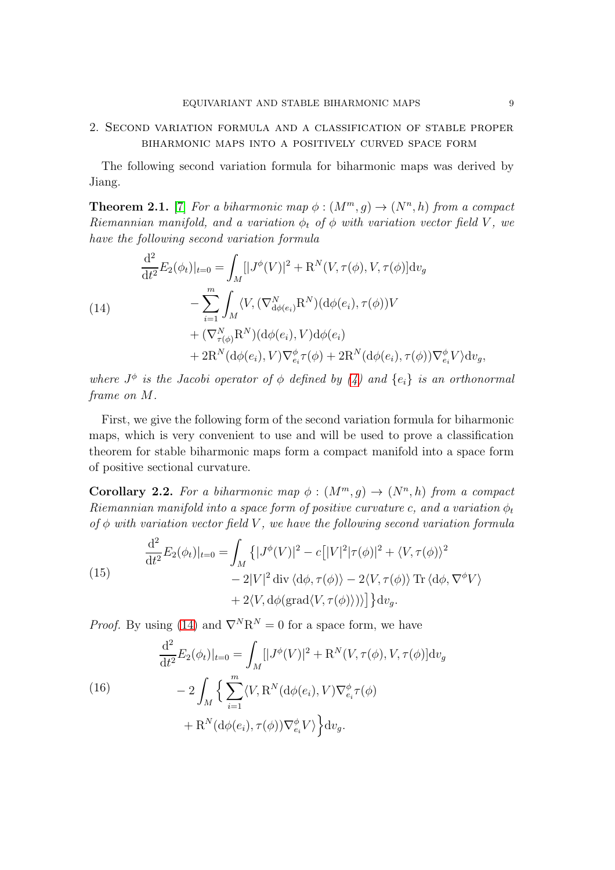# 2. Second variation formula and a classification of stable proper biharmonic maps into a positively curved space form

The following second variation formula for biharmonic maps was derived by Jiang.

**Theorem 2.1.** [\[7\]](#page-11-8) For a biharmonic map  $\phi$  :  $(M^m, g) \rightarrow (N^n, h)$  from a compact Riemannian manifold, and a variation  $\phi_t$  of  $\phi$  with variation vector field V, we have the following second variation formula

<span id="page-8-0"></span>(14)  
\n
$$
\frac{d^2}{dt^2} E_2(\phi_t)|_{t=0} = \int_M [|J^{\phi}(V)|^2 + R^N(V, \tau(\phi), V, \tau(\phi)] dv_g
$$
\n
$$
- \sum_{i=1}^m \int_M \langle V, (\nabla^N_{d\phi(e_i)} R^N)(d\phi(e_i), \tau(\phi))V
$$
\n
$$
+ (\nabla^N_{\tau(\phi)} R^N)(d\phi(e_i), V) d\phi(e_i)
$$
\n
$$
+ 2R^N(d\phi(e_i), V) \nabla^{\phi}_{e_i} \tau(\phi) + 2R^N(d\phi(e_i), \tau(\phi)) \nabla^{\phi}_{e_i} V \rangle dv_g,
$$

where  $J^{\phi}$  is the Jacobi operator of  $\phi$  defined by [\(4\)](#page-3-1) and  $\{e_i\}$  is an orthonormal frame on M.

First, we give the following form of the second variation formula for biharmonic maps, which is very convenient to use and will be used to prove a classification theorem for stable biharmonic maps form a compact manifold into a space form of positive sectional curvature.

**Corollary 2.2.** For a biharmonic map  $\phi$  :  $(M^m, g) \rightarrow (N^n, h)$  from a compact Riemannian manifold into a space form of positive curvature c, and a variation  $\phi_t$ of  $\phi$  with variation vector field V, we have the following second variation formula

<span id="page-8-2"></span>(15)  
\n
$$
\frac{d^2}{dt^2} E_2(\phi_t)|_{t=0} = \int_M \left\{ |J^{\phi}(V)|^2 - c \left[ |V|^2 |\tau(\phi)|^2 + \langle V, \tau(\phi) \rangle^2 - 2|V|^2 \operatorname{div} \langle d\phi, \tau(\phi) \rangle - 2\langle V, \tau(\phi) \rangle \operatorname{Tr} \langle d\phi, \nabla^{\phi} V \rangle \right. \\ \left. + 2 \langle V, d\phi(\operatorname{grad} \langle V, \tau(\phi) \rangle) \rangle \right] \right\} dv_g.
$$

*Proof.* By using [\(14\)](#page-8-0) and  $\nabla^N \mathbb{R}^N = 0$  for a space form, we have

<span id="page-8-1"></span>(16)  
\n
$$
\frac{d^2}{dt^2} E_2(\phi_t)|_{t=0} = \int_M [|J^{\phi}(V)|^2 + R^N(V, \tau(\phi), V, \tau(\phi)] dv_g
$$
\n
$$
- 2 \int_M \left\{ \sum_{i=1}^m \langle V, R^N(d\phi(e_i), V) \nabla_{e_i}^{\phi} \tau(\phi) + R^N(d\phi(e_i), \tau(\phi)) \nabla_{e_i}^{\phi} V \rangle \right\} dv_g.
$$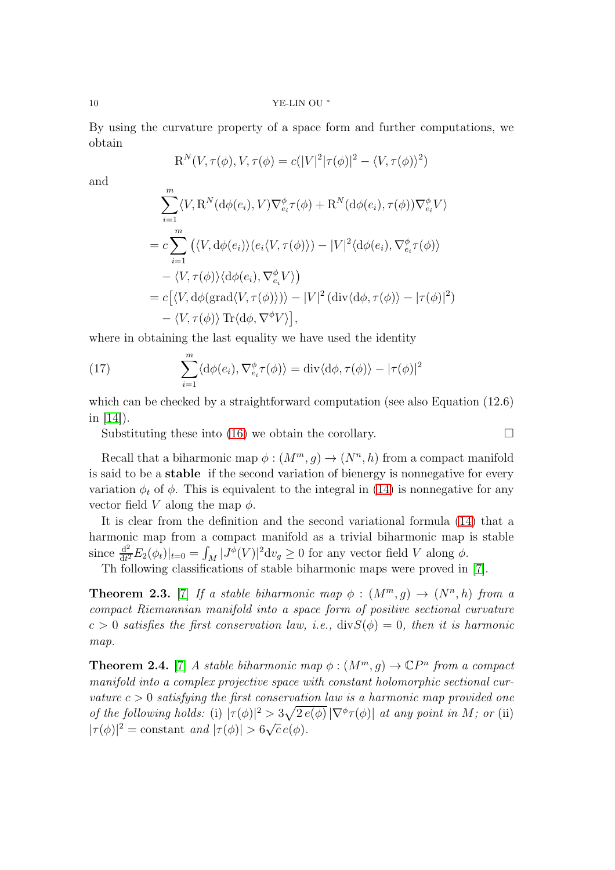10 YE-LIN OU <sup>∗</sup>

By using the curvature property of a space form and further computations, we obtain

$$
\mathrm{R}^N(V,\tau(\phi),V,\tau(\phi)=c(|V|^2|\tau(\phi)|^2-\langle V,\tau(\phi)\rangle^2)
$$

and

$$
\sum_{i=1}^{m} \langle V, \mathbf{R}^{N}(\mathrm{d}\phi(e_{i}), V) \nabla_{e_{i}}^{\phi} \tau(\phi) + \mathbf{R}^{N}(\mathrm{d}\phi(e_{i}), \tau(\phi)) \nabla_{e_{i}}^{\phi} V \rangle
$$
  
=  $c \sum_{i=1}^{m} (\langle V, \mathrm{d}\phi(e_{i}) \rangle (e_{i} \langle V, \tau(\phi) \rangle) - |V|^{2} \langle \mathrm{d}\phi(e_{i}), \nabla_{e_{i}}^{\phi} \tau(\phi) \rangle$   
 $- \langle V, \tau(\phi) \rangle \langle \mathrm{d}\phi(e_{i}), \nabla_{e_{i}}^{\phi} V \rangle)$   
=  $c [\langle V, \mathrm{d}\phi(\mathrm{grad}\langle V, \tau(\phi) \rangle) \rangle - |V|^{2} (\mathrm{div}\langle \mathrm{d}\phi, \tau(\phi) \rangle - |\tau(\phi)|^{2})$   
 $- \langle V, \tau(\phi) \rangle \operatorname{Tr}\langle \mathrm{d}\phi, \nabla^{\phi} V \rangle],$ 

where in obtaining the last equality we have used the identity

<span id="page-9-1"></span>(17) 
$$
\sum_{i=1}^{m} \langle d\phi(e_i), \nabla_{e_i}^{\phi} \tau(\phi) \rangle = \text{div} \langle d\phi, \tau(\phi) \rangle - |\tau(\phi)|^2
$$

which can be checked by a straightforward computation (see also Equation  $(12.6)$ ) in  $[14]$ ).

Substituting these into [\(16\)](#page-8-1) we obtain the corollary.  $\Box$ 

Recall that a biharmonic map  $\phi : (M^m, g) \to (N^n, h)$  from a compact manifold is said to be a stable if the second variation of bienergy is nonnegative for every variation  $\phi_t$  of  $\phi$ . This is equivalent to the integral in [\(14\)](#page-8-0) is nonnegative for any vector field V along the map  $\phi$ .

It is clear from the definition and the second variational formula [\(14\)](#page-8-0) that a harmonic map from a compact manifold as a trivial biharmonic map is stable since  $\frac{d^2}{dt^2}$  $\frac{d^2}{dt^2}E_2(\phi_t)|_{t=0} = \int_M |J^{\phi}(V)|^2 dv_g \ge 0$  for any vector field V along  $\phi$ .

Th following classifications of stable biharmonic maps were proved in [\[7\]](#page-11-8).

**Theorem 2.3.** [\[7\]](#page-11-8) If a stable biharmonic map  $\phi$  :  $(M^m, g) \rightarrow (N^n, h)$  from a compact Riemannian manifold into a space form of positive sectional curvature  $c > 0$  satisfies the first conservation law, i.e.,  $\text{div}S(\phi) = 0$ , then it is harmonic map.

<span id="page-9-0"></span>**Theorem 2.4.** [\[7\]](#page-11-8) A stable biharmonic map  $\phi$  :  $(M^m, g) \to \mathbb{C}P^n$  from a compact manifold into a complex projective space with constant holomorphic sectional curvature  $c > 0$  satisfying the first conservation law is a harmonic map provided one of the following holds: (i)  $|\tau(\phi)|^2 > \frac{3\sqrt{2 e(\phi)}}{|\nabla^{\phi} \tau(\phi)|}$  at any point in M; or (ii)  $|\tau(\phi)|^2 = \text{constant} \text{ and } |\tau(\phi)| > 6\sqrt{c} e(\phi).$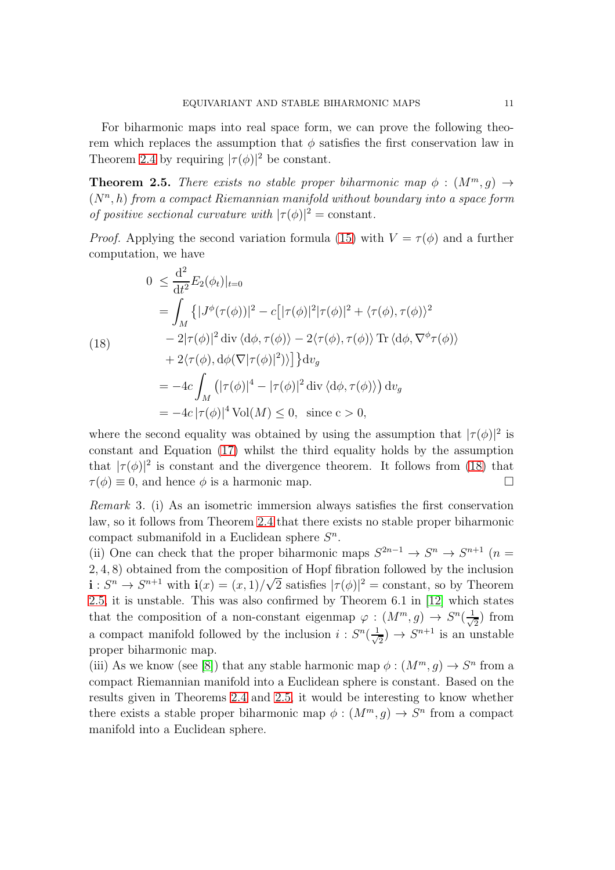For biharmonic maps into real space form, we can prove the following theorem which replaces the assumption that  $\phi$  satisfies the first conservation law in Theorem [2.4](#page-9-0) by requiring  $|\tau(\phi)|^2$  be constant.

<span id="page-10-1"></span>**Theorem 2.5.** There exists no stable proper biharmonic map  $\phi$  :  $(M^m, g) \rightarrow$  $(N<sup>n</sup>, h)$  from a compact Riemannian manifold without boundary into a space form of positive sectional curvature with  $|\tau(\phi)|^2 = \text{constant}$ .

*Proof.* Applying the second variation formula [\(15\)](#page-8-2) with  $V = \tau(\phi)$  and a further computation, we have

<span id="page-10-0"></span>(18)  
\n
$$
0 \leq \frac{d^2}{dt^2} E_2(\phi_t)|_{t=0}
$$
\n
$$
= \int_M \left\{ |J^{\phi}(\tau(\phi))|^2 - c \left[ |\tau(\phi)|^2 |\tau(\phi)|^2 + \langle \tau(\phi), \tau(\phi) \rangle^2 - 2|\tau(\phi)|^2 \right] \text{div} \langle d\phi, \tau(\phi) \rangle - 2\langle \tau(\phi), \tau(\phi) \rangle \text{Tr} \langle d\phi, \nabla^{\phi} \tau(\phi) \rangle \right. \\ \left. + 2\langle \tau(\phi), d\phi(\nabla |\tau(\phi)|^2) \rangle \right\} dv_g
$$
\n
$$
= -4c \int_M \left( |\tau(\phi)|^4 - |\tau(\phi)|^2 \text{div} \langle d\phi, \tau(\phi) \rangle \right) dv_g
$$
\n
$$
= -4c |\tau(\phi)|^4 \text{Vol}(M) \leq 0, \text{ since } c > 0,
$$

where the second equality was obtained by using the assumption that  $|\tau(\phi)|^2$  is constant and Equation [\(17\)](#page-9-1) whilst the third equality holds by the assumption that  $|\tau(\phi)|^2$  is constant and the divergence theorem. It follows from [\(18\)](#page-10-0) that  $\tau(\phi) \equiv 0$ , and hence  $\phi$  is a harmonic map.

Remark 3. (i) As an isometric immersion always satisfies the first conservation law, so it follows from Theorem [2.4](#page-9-0) that there exists no stable proper biharmonic compact submanifold in a Euclidean sphere  $S<sup>n</sup>$ .

(ii) One can check that the proper biharmonic maps  $S^{2n-1} \to S^n \to S^{n+1}$  ( $n =$ 2, 4, 8) obtained from the composition of Hopf fibration followed by the inclusion  $\mathbf{i}: S^n \to S^{n+1}$  with  $\mathbf{i}(x) = (x, 1) / \sqrt{2}$  satisfies  $|\tau(\phi)|^2 = \text{constant}$ , so by Theorem [2.5,](#page-10-1) it is unstable. This was also confirmed by Theorem 6.1 in [\[12\]](#page-12-3) which states that the composition of a non-constant eigenmap  $\varphi : (M^m, g) \to S^n(\frac{1}{\sqrt{N}})$  $\frac{1}{2}$  from a compact manifold followed by the inclusion  $i: S^n(\frac{1}{\sqrt{n}})$  $(\frac{1}{2}) \rightarrow S^{n+1}$  is an unstable proper biharmonic map.

(iii) As we know (see [\[8\]](#page-11-9)) that any stable harmonic map  $\phi : (M^m, g) \to S^n$  from a compact Riemannian manifold into a Euclidean sphere is constant. Based on the results given in Theorems [2.4](#page-9-0) and [2.5,](#page-10-1) it would be interesting to know whether there exists a stable proper biharmonic map  $\phi : (M^m, g) \to S^n$  from a compact manifold into a Euclidean sphere.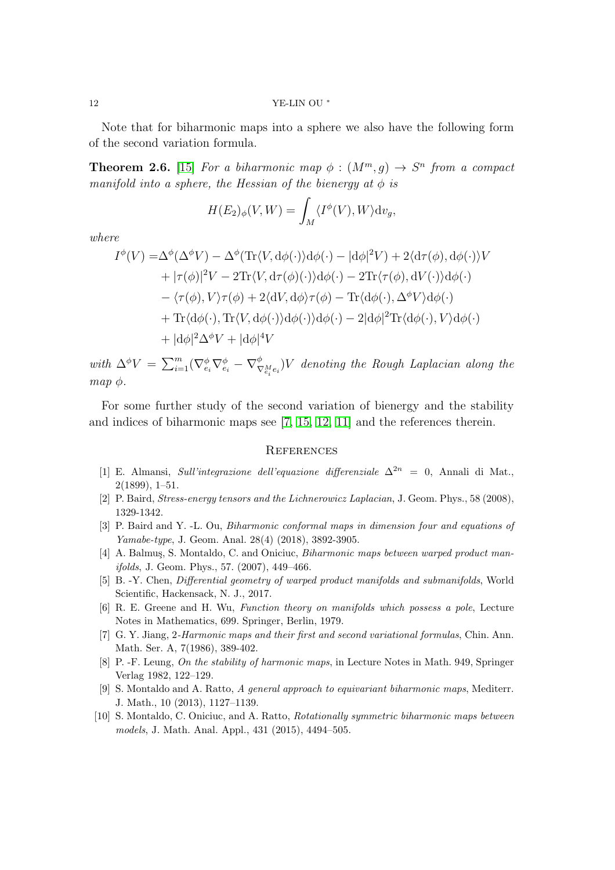12 YE-LIN OU <sup>∗</sup>

Note that for biharmonic maps into a sphere we also have the following form of the second variation formula.

**Theorem 2.6.** [\[15\]](#page-12-4) For a biharmonic map  $\phi$  :  $(M^m, g) \rightarrow S^n$  from a compact manifold into a sphere, the Hessian of the bienergy at  $\phi$  is

$$
H(E_2)_{\phi}(V, W) = \int_M \langle I^{\phi}(V), W \rangle \mathrm{d}v_g,
$$

where

$$
I^{\phi}(V) = \Delta^{\phi}(\Delta^{\phi}V) - \Delta^{\phi}(\text{Tr}\langle V, d\phi(\cdot)\rangle d\phi(\cdot) - |d\phi|^2 V) + 2\langle d\tau(\phi), d\phi(\cdot)\rangle V + |\tau(\phi)|^2 V - 2\text{Tr}\langle V, d\tau(\phi)(\cdot)\rangle d\phi(\cdot) - 2\text{Tr}\langle \tau(\phi), dV(\cdot)\rangle d\phi(\cdot) - \langle \tau(\phi), V \rangle \tau(\phi) + 2\langle dV, d\phi \rangle \tau(\phi) - \text{Tr}\langle d\phi(\cdot), \Delta^{\phi}V \rangle d\phi(\cdot) + \text{Tr}\langle d\phi(\cdot), \text{Tr}\langle V, d\phi(\cdot)\rangle d\phi(\cdot) \rangle d\phi(\cdot) - 2|d\phi|^2 \text{Tr}\langle d\phi(\cdot), V \rangle d\phi(\cdot) + |d\phi|^2 \Delta^{\phi}V + |d\phi|^4 V
$$

with  $\Delta^{\phi}V = \sum_{i=1}^{m} (\nabla_{e_i}^{\phi} \nabla_{e_i}^{\phi} - \nabla_{\nabla_{e_i}^M e_i}^{\phi}) V$  denoting the Rough Laplacian along the map  $\phi$ .

For some further study of the second variation of bienergy and the stability and indices of biharmonic maps see [\[7,](#page-11-8) [15,](#page-12-4) [12,](#page-12-3) [11\]](#page-12-5) and the references therein.

### **REFERENCES**

- <span id="page-11-6"></span>[1] E. Almansi, *Sull'integrazione dell'equazione differenziale*  $\Delta^{2n} = 0$ . Annali di Mat., 2(1899), 1–51.
- <span id="page-11-7"></span><span id="page-11-5"></span>[2] P. Baird, Stress-energy tensors and the Lichnerowicz Laplacian, J. Geom. Phys., 58 (2008), 1329-1342.
- <span id="page-11-0"></span>[3] P. Baird and Y. -L. Ou, Biharmonic conformal maps in dimension four and equations of Yamabe-type, J. Geom. Anal. 28(4) (2018), 3892-3905.
- [4] A. Balmus, S. Montaldo, C. and Oniciuc, *Biharmonic maps between warped product man*ifolds, J. Geom. Phys., 57. (2007), 449–466.
- <span id="page-11-2"></span>[5] B. -Y. Chen, Differential geometry of warped product manifolds and submanifolds, World Scientific, Hackensack, N. J., 2017.
- <span id="page-11-3"></span>[6] R. E. Greene and H. Wu, Function theory on manifolds which possess a pole, Lecture Notes in Mathematics, 699. Springer, Berlin, 1979.
- <span id="page-11-8"></span>[7] G. Y. Jiang, 2-Harmonic maps and their first and second variational formulas, Chin. Ann. Math. Ser. A, 7(1986), 389-402.
- <span id="page-11-9"></span><span id="page-11-4"></span>[8] P. -F. Leung, On the stability of harmonic maps, in Lecture Notes in Math. 949, Springer Verlag 1982, 122–129.
- [9] S. Montaldo and A. Ratto, A general approach to equivariant biharmonic maps, Mediterr. J. Math., 10 (2013), 1127–1139.
- <span id="page-11-1"></span>[10] S. Montaldo, C. Oniciuc, and A. Ratto, *Rotationally symmetric biharmonic maps between* models, J. Math. Anal. Appl., 431 (2015), 4494–505.